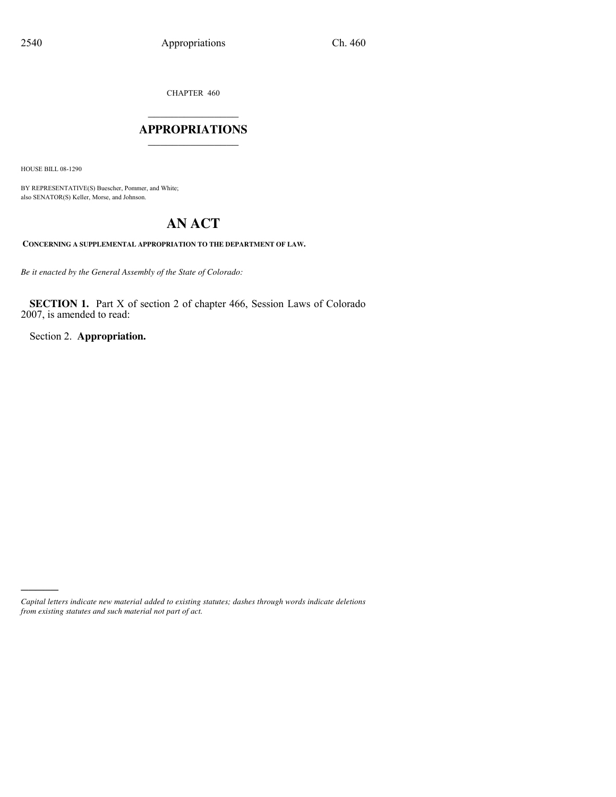CHAPTER 460

### $\mathcal{L}$  , we have the set of the set of the set of the set of the set of the set of the set of the set of the set of the set of the set of the set of the set of the set of the set of the set of the set of the set of the **APPROPRIATIONS** \_\_\_\_\_\_\_\_\_\_\_\_\_\_\_

HOUSE BILL 08-1290

)))))

BY REPRESENTATIVE(S) Buescher, Pommer, and White; also SENATOR(S) Keller, Morse, and Johnson.

# **AN ACT**

**CONCERNING A SUPPLEMENTAL APPROPRIATION TO THE DEPARTMENT OF LAW.**

*Be it enacted by the General Assembly of the State of Colorado:*

**SECTION 1.** Part X of section 2 of chapter 466, Session Laws of Colorado 2007, is amended to read:

Section 2. **Appropriation.**

*Capital letters indicate new material added to existing statutes; dashes through words indicate deletions from existing statutes and such material not part of act.*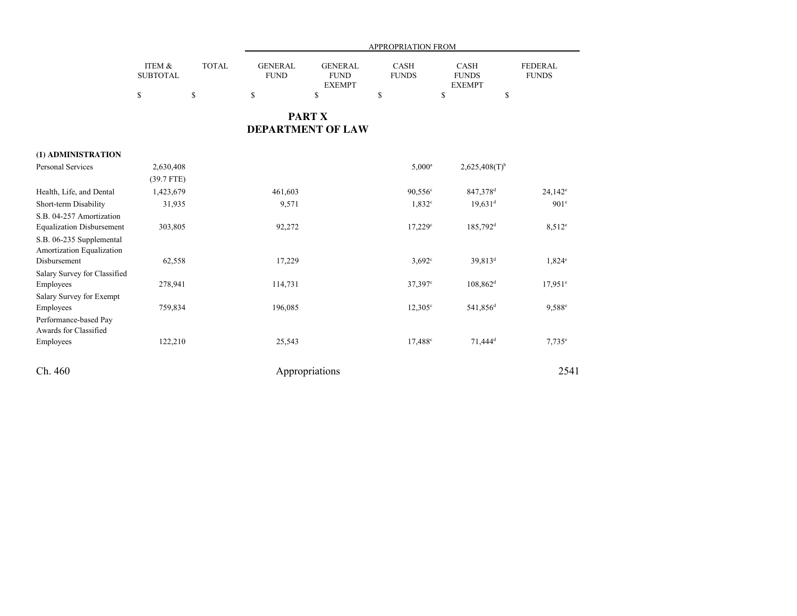|                                                                                          |                           | APPROPRIATION FROM |                               |                                                |                             |                                              |                                |
|------------------------------------------------------------------------------------------|---------------------------|--------------------|-------------------------------|------------------------------------------------|-----------------------------|----------------------------------------------|--------------------------------|
|                                                                                          | ITEM &<br><b>SUBTOTAL</b> | <b>TOTAL</b>       | <b>GENERAL</b><br><b>FUND</b> | <b>GENERAL</b><br><b>FUND</b><br><b>EXEMPT</b> | <b>CASH</b><br><b>FUNDS</b> | <b>CASH</b><br><b>FUNDS</b><br><b>EXEMPT</b> | <b>FEDERAL</b><br><b>FUNDS</b> |
|                                                                                          | $\mathbb{S}$              | $\mathbb{S}$       | $\mathbb{S}$                  | \$                                             | \$                          | \$<br>$\mathbb{S}$                           |                                |
|                                                                                          |                           |                    |                               | <b>PART X</b><br><b>DEPARTMENT OF LAW</b>      |                             |                                              |                                |
| (1) ADMINISTRATION                                                                       |                           |                    |                               |                                                |                             |                                              |                                |
| <b>Personal Services</b>                                                                 | 2,630,408<br>$(39.7$ FTE) |                    |                               |                                                | $5,000^a$                   | $2,625,408(T)$ <sup>b</sup>                  |                                |
| Health, Life, and Dental                                                                 | 1,423,679                 |                    | 461,603                       |                                                | $90,556$ °                  | 847,378 <sup>d</sup>                         | $24,142^e$                     |
| Short-term Disability                                                                    | 31,935                    |                    | 9,571                         |                                                | $1,832^c$                   | $19.631$ <sup>d</sup>                        | 901 <sup>e</sup>               |
| S.B. 04-257 Amortization<br><b>Equalization Disbursement</b><br>S.B. 06-235 Supplemental | 303,805                   |                    | 92,272                        |                                                | $17,229$ °                  | 185,792 <sup>d</sup>                         | $8,512^e$                      |
| Amortization Equalization<br>Disbursement<br>Salary Survey for Classified                | 62,558                    |                    | 17,229                        |                                                | $3,692^{\circ}$             | 39,813 <sup>d</sup>                          | $1,824^e$                      |
| Employees                                                                                | 278,941                   |                    | 114,731                       |                                                | 37,397 <sup>c</sup>         | $108,862$ <sup>d</sup>                       | $17,951$ <sup>e</sup>          |
| Salary Survey for Exempt<br>Employees<br>Performance-based Pay                           | 759,834                   |                    | 196,085                       |                                                | $12,305^{\circ}$            | 541,856 <sup>d</sup>                         | 9,588 <sup>e</sup>             |
| Awards for Classified<br>Employees                                                       | 122,210                   |                    | 25,543                        |                                                | 17,488 <sup>c</sup>         | 71,444 <sup>d</sup>                          | $7,735^e$                      |
| Ch. 460                                                                                  |                           |                    |                               | Appropriations                                 |                             |                                              | 2541                           |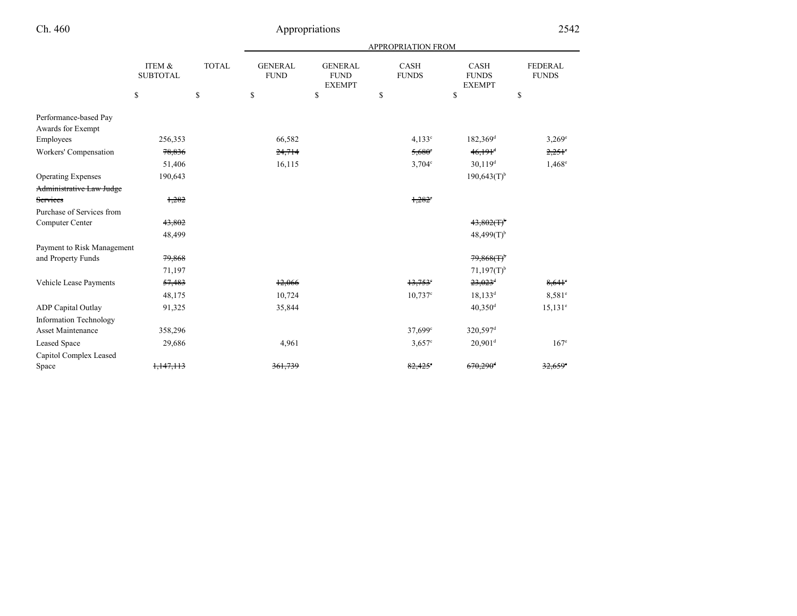|  | $\mathbb{C}^n$ | 460 |
|--|----------------|-----|
|--|----------------|-----|

|                                            |                           |              |                               |                                                | <b>APPROPRIATION FROM</b>             |                                       |                                |
|--------------------------------------------|---------------------------|--------------|-------------------------------|------------------------------------------------|---------------------------------------|---------------------------------------|--------------------------------|
|                                            | ITEM &<br><b>SUBTOTAL</b> | <b>TOTAL</b> | <b>GENERAL</b><br><b>FUND</b> | <b>GENERAL</b><br><b>FUND</b><br><b>EXEMPT</b> | <b>CASH</b><br><b>FUNDS</b>           | CASH<br><b>FUNDS</b><br><b>EXEMPT</b> | <b>FEDERAL</b><br><b>FUNDS</b> |
|                                            | \$                        | \$           | \$                            | \$                                             | \$                                    | $\mathbb{S}$                          | \$                             |
| Performance-based Pay<br>Awards for Exempt |                           |              |                               |                                                |                                       |                                       |                                |
| Employees                                  | 256,353                   |              | 66,582                        |                                                | 4.133c                                | 182,369 <sup>d</sup>                  | $3,269^e$                      |
| Workers' Compensation                      | 78,836                    |              | 24,714                        |                                                | $5,680^\circ$                         | $46,191$ <sup>d</sup>                 | $2,251$ °                      |
|                                            | 51,406                    |              | 16,115                        |                                                | $3,704^{\circ}$                       | $30,119$ <sup>d</sup>                 | $1,468^e$                      |
| <b>Operating Expenses</b>                  | 190,643                   |              |                               |                                                |                                       | $190,643(T)$ <sup>b</sup>             |                                |
| Administrative Law Judge                   |                           |              |                               |                                                |                                       |                                       |                                |
| Services                                   | 1,282                     |              |                               |                                                | $1,282$ <sup><math>\circ</math></sup> |                                       |                                |
| Purchase of Services from                  |                           |              |                               |                                                |                                       |                                       |                                |
| Computer Center                            | 43,802                    |              |                               |                                                |                                       | 43,802(T)                             |                                |
|                                            | 48,499                    |              |                               |                                                |                                       | $48,499(T)$ <sup>b</sup>              |                                |
| Payment to Risk Management                 |                           |              |                               |                                                |                                       |                                       |                                |
| and Property Funds                         | 79,868                    |              |                               |                                                |                                       | $79,868(f)^6$                         |                                |
|                                            | 71,197                    |              |                               |                                                |                                       | $71,197(T)$ <sup>b</sup>              |                                |
| Vehicle Lease Payments                     | 57,483                    |              | 12,066                        |                                                | $13,753$ <sup>e</sup>                 | $23,023$ <sup>d</sup>                 | $8,641$ °                      |
|                                            | 48,175                    |              | 10,724                        |                                                | $10,737$ c                            | $18,133^d$                            | $8,581^e$                      |
| <b>ADP Capital Outlay</b>                  | 91,325                    |              | 35,844                        |                                                |                                       | $40,350$ <sup>d</sup>                 | $15,131^e$                     |
| <b>Information Technology</b>              |                           |              |                               |                                                |                                       |                                       |                                |
| <b>Asset Maintenance</b>                   | 358,296                   |              |                               |                                                | 37,699 <sup>c</sup>                   | 320,597 <sup>d</sup>                  |                                |
| <b>Leased Space</b>                        | 29,686                    |              | 4,961                         |                                                | $3.657$ °                             | $20,901$ <sup>d</sup>                 | $167^{\circ}$                  |
| Capitol Complex Leased                     |                           |              |                               |                                                |                                       |                                       |                                |
| Space                                      | 1,147,113                 |              | 361,739                       |                                                | $82,425$ <sup>e</sup>                 | $670,290$ <sup>4</sup>                | $32,659$ <sup>e</sup>          |
|                                            |                           |              |                               |                                                |                                       |                                       |                                |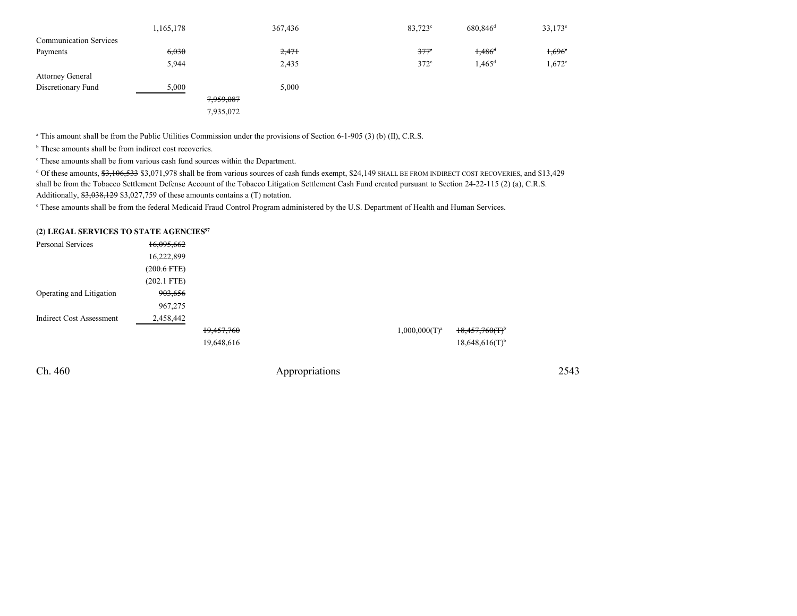|                               | 1,165,178 | 367,436 | $83,723^{\circ}$ | $680,846$ <sup>d</sup> | $33,173^e$           |
|-------------------------------|-----------|---------|------------------|------------------------|----------------------|
| <b>Communication Services</b> |           |         |                  |                        |                      |
| Payments                      | 6,030     | 2,471   | $377^\circ$      | $1,486$ <sup>d</sup>   | 1,696°               |
|                               | 5,944     | 2,435   | $372^{\circ}$    | $1,465$ <sup>d</sup>   | $1,672$ <sup>e</sup> |
| <b>Attorney General</b>       |           |         |                  |                        |                      |
| Discretionary Fund            | 5,000     | 5,000   |                  |                        |                      |
|                               | 7,959,087 |         |                  |                        |                      |
|                               | 7,935,072 |         |                  |                        |                      |

<sup>a</sup> This amount shall be from the Public Utilities Commission under the provisions of Section 6-1-905 (3) (b) (II), C.R.S.

**b** These amounts shall be from indirect cost recoveries.

c These amounts shall be from various cash fund sources within the Department.

 $^{4}$  Of these amounts,  $\frac{4}{3}$ ,  $\frac{4}{9}$ ,  $\frac{4}{9}$ ,  $\frac{4}{9}$ ,  $\frac{4}{9}$ ,  $\frac{4}{9}$  shall be from various sources of cash funds exempt, \$24,149 SHALL BE FROM INDIRECT COST RECOVERIES, and \$13,429 shall be from the Tobacco Settlement Defense Account of the Tobacco Litigation Settlement Cash Fund created pursuant to Section 24-22-115 (2) (a), C.R.S.Additionally, \$3,038,129 \$3,027,759 of these amounts contains a (T) notation.

e These amounts shall be from the federal Medicaid Fraud Control Program administered by the U.S. Department of Health and Human Services.

#### **(2) LEGAL SERVICES TO STATE AGENCIES<sup>97</sup>**

| Personal Services               | 16,095,662       |            |                  |                              |
|---------------------------------|------------------|------------|------------------|------------------------------|
|                                 | 16,222,899       |            |                  |                              |
|                                 | $(200.6$ FTE $)$ |            |                  |                              |
|                                 | $(202.1$ FTE)    |            |                  |                              |
| Operating and Litigation        | 903,656          |            |                  |                              |
|                                 | 967,275          |            |                  |                              |
| <b>Indirect Cost Assessment</b> | 2,458,442        |            |                  |                              |
|                                 |                  | 19,457,760 | $1,000,000(T)^a$ | $18,457,760(T)$ <sup>b</sup> |
|                                 |                  | 19,648,616 |                  | $18,648,616(T)$ <sup>b</sup> |

Ch. 460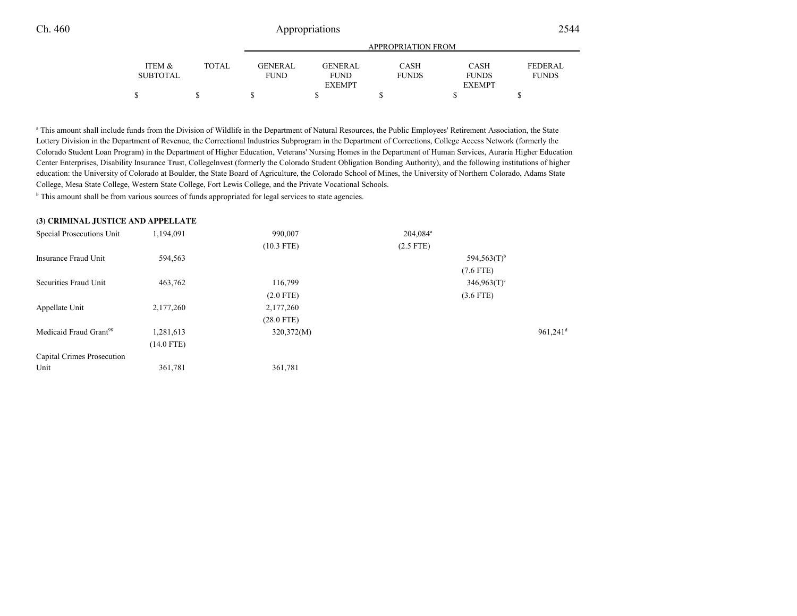|          |        |                | APPROPRIATION FROM |              |               |                |  |  |  |
|----------|--------|----------------|--------------------|--------------|---------------|----------------|--|--|--|
| ITEM &   | TOTAL. | <b>GENERAL</b> | GENERAL            | <b>CASH</b>  | <b>CASH</b>   | <b>FEDERAL</b> |  |  |  |
| SUBTOTAL |        | <b>FUND</b>    | <b>FUND</b>        | <b>FUNDS</b> | <b>FUNDS</b>  | <b>FUNDS</b>   |  |  |  |
|          |        |                | <b>EXEMPT</b>      |              | <b>EXEMPT</b> |                |  |  |  |
|          | S      |                |                    |              |               |                |  |  |  |

a This amount shall include funds from the Division of Wildlife in the Department of Natural Resources, the Public Employees' Retirement Association, the State Lottery Division in the Department of Revenue, the Correctional Industries Subprogram in the Department of Corrections, College Access Network (formerly the Colorado Student Loan Program) in the Department of Higher Education, Veterans' Nursing Homes in the Department of Human Services, Auraria Higher Education Center Enterprises, Disability Insurance Trust, CollegeInvest (formerly the Colorado Student Obligation Bonding Authority), and the following institutions of highereducation: the University of Colorado at Boulder, the State Board of Agriculture, the Colorado School of Mines, the University of Northern Colorado, Adams StateCollege, Mesa State College, Western State College, Fort Lewis College, and the Private Vocational Schools.

<sup>b</sup> This amount shall be from various sources of funds appropriated for legal services to state agencies.

#### **(3) CRIMINAL JUSTICE AND APPELLATE**

| Special Prosecutions Unit          | 1,194,091    | 990,007      | $204.084$ <sup>a</sup> |                        |
|------------------------------------|--------------|--------------|------------------------|------------------------|
|                                    |              | $(10.3$ FTE) | $(2.5$ FTE)            |                        |
| Insurance Fraud Unit               | 594,563      |              |                        | 594,563 $(T)^b$        |
|                                    |              |              |                        | $(7.6$ FTE)            |
| Securities Fraud Unit              | 463,762      | 116,799      |                        | $346,963(T)$ °         |
|                                    |              | $(2.0$ FTE)  |                        | $(3.6$ FTE)            |
| Appellate Unit                     | 2,177,260    | 2,177,260    |                        |                        |
|                                    |              | $(28.0$ FTE) |                        |                        |
| Medicaid Fraud Grant <sup>98</sup> | 1,281,613    | 320,372(M)   |                        | $961,241$ <sup>d</sup> |
|                                    | $(14.0$ FTE) |              |                        |                        |
| Capital Crimes Prosecution         |              |              |                        |                        |
| Unit                               | 361,781      | 361,781      |                        |                        |
|                                    |              |              |                        |                        |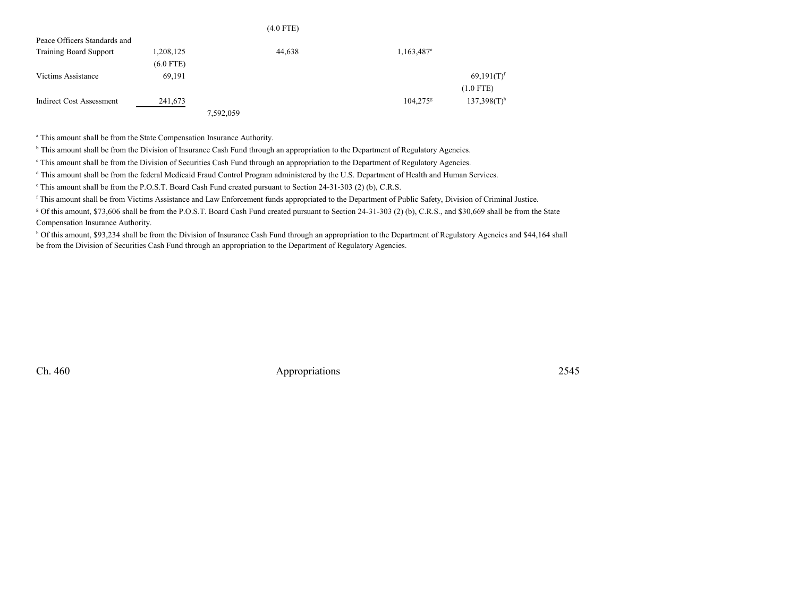|                               |             |           | $(4.0$ FTE) |                          |                           |
|-------------------------------|-------------|-----------|-------------|--------------------------|---------------------------|
| Peace Officers Standards and  |             |           |             |                          |                           |
| <b>Training Board Support</b> | 1,208,125   |           | 44,638      | $1,163,487$ <sup>e</sup> |                           |
|                               | $(6.0$ FTE) |           |             |                          |                           |
| Victims Assistance            | 69,191      |           |             |                          | $69,191(T)$ <sup>f</sup>  |
|                               |             |           |             |                          | $(1.0$ FTE)               |
| Indirect Cost Assessment      | 241,673     |           |             | $104.275^8$              | $137,398(T)$ <sup>h</sup> |
|                               |             | 7,592,059 |             |                          |                           |

<sup>a</sup> This amount shall be from the State Compensation Insurance Authority.

<sup>b</sup> This amount shall be from the Division of Insurance Cash Fund through an appropriation to the Department of Regulatory Agencies.

<sup>e</sup> This amount shall be from the Division of Securities Cash Fund through an appropriation to the Department of Regulatory Agencies.

<sup>d</sup> This amount shall be from the federal Medicaid Fraud Control Program administered by the U.S. Department of Health and Human Services.

e This amount shall be from the P.O.S.T. Board Cash Fund created pursuant to Section 24-31-303 (2) (b), C.R.S.

<sup>f</sup> This amount shall be from Victims Assistance and Law Enforcement funds appropriated to the Department of Public Safety, Division of Criminal Justice.

<sup>g</sup> Of this amount, \$73,606 shall be from the P.O.S.T. Board Cash Fund created pursuant to Section 24-31-303 (2) (b), C.R.S., and \$30,669 shall be from the State Compensation Insurance Authority.

h Of this amount, \$93,234 shall be from the Division of Insurance Cash Fund through an appropriation to the Department of Regulatory Agencies and \$44,164 shall be from the Division of Securities Cash Fund through an appropriation to the Department of Regulatory Agencies.

Ch. 460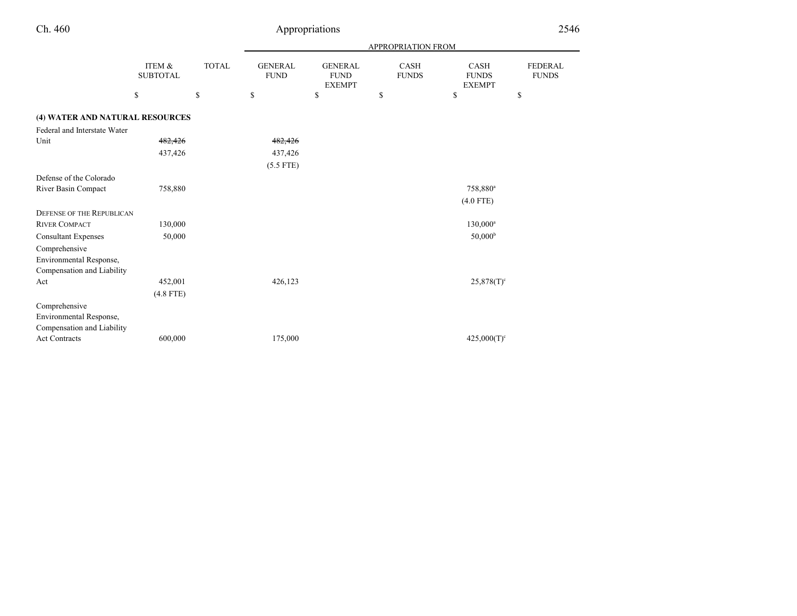|                                                                        |                           |              | <b>APPROPRIATION FROM</b>     |                                                |                             |                                              |                                |  |
|------------------------------------------------------------------------|---------------------------|--------------|-------------------------------|------------------------------------------------|-----------------------------|----------------------------------------------|--------------------------------|--|
|                                                                        | ITEM &<br><b>SUBTOTAL</b> | <b>TOTAL</b> | <b>GENERAL</b><br><b>FUND</b> | <b>GENERAL</b><br><b>FUND</b><br><b>EXEMPT</b> | <b>CASH</b><br><b>FUNDS</b> | <b>CASH</b><br><b>FUNDS</b><br><b>EXEMPT</b> | <b>FEDERAL</b><br><b>FUNDS</b> |  |
|                                                                        | \$                        | \$           | \$                            | \$                                             | \$                          | \$                                           | \$                             |  |
| (4) WATER AND NATURAL RESOURCES                                        |                           |              |                               |                                                |                             |                                              |                                |  |
| Federal and Interstate Water                                           |                           |              |                               |                                                |                             |                                              |                                |  |
| Unit                                                                   | 482,426                   |              | 482,426                       |                                                |                             |                                              |                                |  |
|                                                                        | 437,426                   |              | 437,426                       |                                                |                             |                                              |                                |  |
|                                                                        |                           |              | $(5.5$ FTE)                   |                                                |                             |                                              |                                |  |
| Defense of the Colorado                                                |                           |              |                               |                                                |                             |                                              |                                |  |
| River Basin Compact                                                    | 758,880                   |              |                               |                                                |                             | 758,880 <sup>a</sup>                         |                                |  |
|                                                                        |                           |              |                               |                                                |                             | $(4.0$ FTE)                                  |                                |  |
| <b>DEFENSE OF THE REPUBLICAN</b>                                       |                           |              |                               |                                                |                             |                                              |                                |  |
| <b>RIVER COMPACT</b>                                                   | 130,000                   |              |                               |                                                |                             | $130,000^a$                                  |                                |  |
| <b>Consultant Expenses</b>                                             | 50,000                    |              |                               |                                                |                             | 50,000 <sup>b</sup>                          |                                |  |
| Comprehensive                                                          |                           |              |                               |                                                |                             |                                              |                                |  |
| Environmental Response,                                                |                           |              |                               |                                                |                             |                                              |                                |  |
| Compensation and Liability                                             |                           |              |                               |                                                |                             |                                              |                                |  |
| Act                                                                    | 452,001                   |              | 426,123                       |                                                |                             | $25,878(T)^c$                                |                                |  |
|                                                                        | $(4.8$ FTE)               |              |                               |                                                |                             |                                              |                                |  |
| Comprehensive<br>Environmental Response,<br>Compensation and Liability |                           |              |                               |                                                |                             |                                              |                                |  |
| <b>Act Contracts</b>                                                   | 600,000                   |              | 175,000                       |                                                |                             | $425,000(T)^c$                               |                                |  |

Ch. 460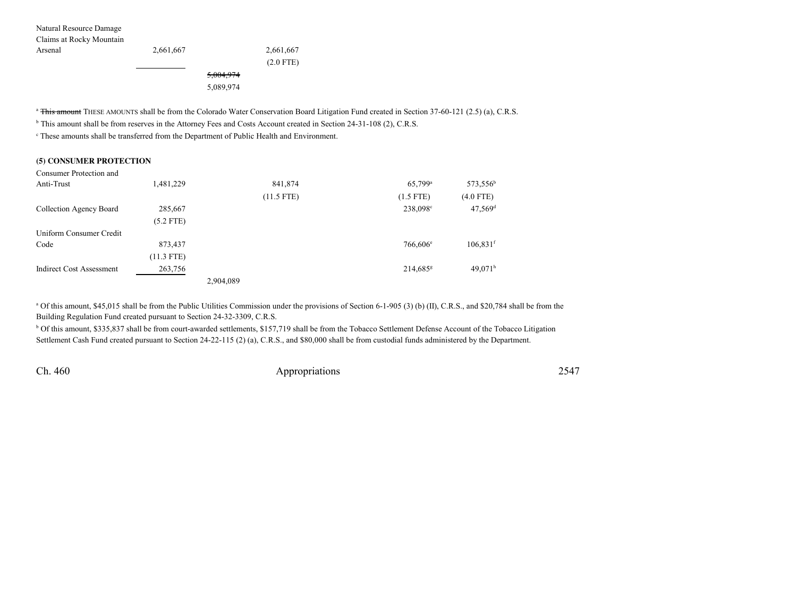| Natural Resource Damage  |           |           |             |
|--------------------------|-----------|-----------|-------------|
| Claims at Rocky Mountain |           |           |             |
| Arsenal                  | 2,661,667 |           | 2,661,667   |
|                          |           |           | $(2.0$ FTE) |
|                          |           | 5,004,974 |             |
|                          |           | 5,089,974 |             |

<sup>a</sup> This amount THESE AMOUNTS shall be from the Colorado Water Conservation Board Litigation Fund created in Section 37-60-121 (2.5) (a), C.R.S.

<sup>b</sup> This amount shall be from reserves in the Attorney Fees and Costs Account created in Section 24-31-108 (2), C.R.S.

c These amounts shall be transferred from the Department of Public Health and Environment.

#### **(5) CONSUMER PROTECTION**

| Consumer Protection and  |              |           |              |                        |                        |
|--------------------------|--------------|-----------|--------------|------------------------|------------------------|
| Anti-Trust               | 1,481,229    |           | 841,874      | $65,799$ <sup>a</sup>  | 573,556 <sup>b</sup>   |
|                          |              |           | $(11.5$ FTE) | $(1.5$ FTE)            | $(4.0$ FTE)            |
| Collection Agency Board  | 285,667      |           |              | 238,098°               | $47,569$ <sup>d</sup>  |
|                          | $(5.2$ FTE)  |           |              |                        |                        |
| Uniform Consumer Credit  |              |           |              |                        |                        |
| Code                     | 873,437      |           |              | $766,606^e$            | $106,831$ <sup>f</sup> |
|                          | $(11.3$ FTE) |           |              |                        |                        |
| Indirect Cost Assessment | 263,756      |           |              | $214,685$ <sup>g</sup> | 49.071 <sup>h</sup>    |
|                          |              | 2.904.089 |              |                        |                        |

<sup>a</sup> Of this amount, \$45,015 shall be from the Public Utilities Commission under the provisions of Section 6-1-905 (3) (b) (II), C.R.S., and \$20,784 shall be from the Building Regulation Fund created pursuant to Section 24-32-3309, C.R.S.

b Of this amount, \$335,837 shall be from court-awarded settlements, \$157,719 shall be from the Tobacco Settlement Defense Account of the Tobacco LitigationSettlement Cash Fund created pursuant to Section 24-22-115 (2) (a), C.R.S., and \$80,000 shall be from custodial funds administered by the Department.

Ch. 460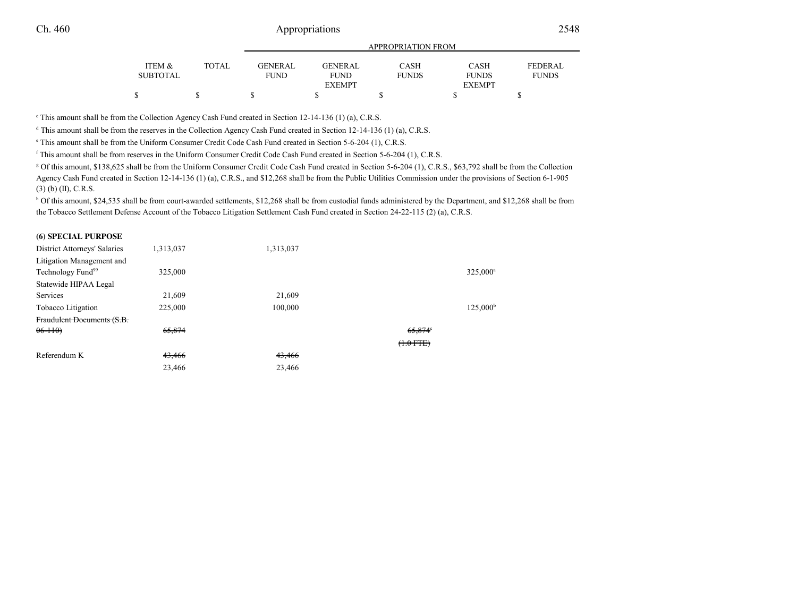|          |       | APPROPRIATION FROM |                |              |               |                |  |  |
|----------|-------|--------------------|----------------|--------------|---------------|----------------|--|--|
| ITEM &   | TOTAL | <b>GENERAL</b>     | <b>GENERAL</b> | <b>CASH</b>  | <b>CASH</b>   | <b>FEDERAL</b> |  |  |
| SUBTOTAL |       | FUND               | <b>FUND</b>    | <b>FUNDS</b> | <b>FUNDS</b>  | <b>FUNDS</b>   |  |  |
|          |       |                    | <b>EXEMPT</b>  |              | <b>EXEMPT</b> |                |  |  |
|          |       |                    |                |              |               |                |  |  |
|          |       |                    |                |              |               |                |  |  |

<sup>c</sup> This amount shall be from the Collection Agency Cash Fund created in Section 12-14-136 (1) (a), C.R.S.

<sup>d</sup> This amount shall be from the reserves in the Collection Agency Cash Fund created in Section 12-14-136 (1) (a), C.R.S.

e This amount shall be from the Uniform Consumer Credit Code Cash Fund created in Section 5-6-204 (1), C.R.S.

<sup>f</sup> This amount shall be from reserves in the Uniform Consumer Credit Code Cash Fund created in Section 5-6-204 (1), C.R.S.

g Of this amount, \$138,625 shall be from the Uniform Consumer Credit Code Cash Fund created in Section 5-6-204 (1), C.R.S., \$63,792 shall be from the Collection Agency Cash Fund created in Section 12-14-136 (1) (a), C.R.S., and \$12,268 shall be from the Public Utilities Commission under the provisions of Section 6-1-905(3) (b) (II), C.R.S.

h Of this amount, \$24,535 shall be from court-awarded settlements, \$12,268 shall be from custodial funds administered by the Department, and \$12,268 shall be from the Tobacco Settlement Defense Account of the Tobacco Litigation Settlement Cash Fund created in Section 24-22-115 (2) (a), C.R.S.

#### **(6) SPECIAL PURPOSE**

| District Attorneys' Salaries  | 1,313,037 | 1,313,037 |                   |
|-------------------------------|-----------|-----------|-------------------|
| Litigation Management and     |           |           |                   |
| Technology Fund <sup>99</sup> | 325,000   |           | $325,000^a$       |
| Statewide HIPAA Legal         |           |           |                   |
| Services                      | 21,609    | 21,609    |                   |
| Tobacco Litigation            | 225,000   | 100,000   | $125,000^{\rm b}$ |
| Fraudulent Documents (S.B.    |           |           |                   |
| $06 - 110$                    | 65,874    |           | $65,874^{\circ}$  |
|                               |           |           | $(1.0$ FTE)       |
| Referendum K                  | 43,466    | 43,466    |                   |
|                               | 23,466    | 23,466    |                   |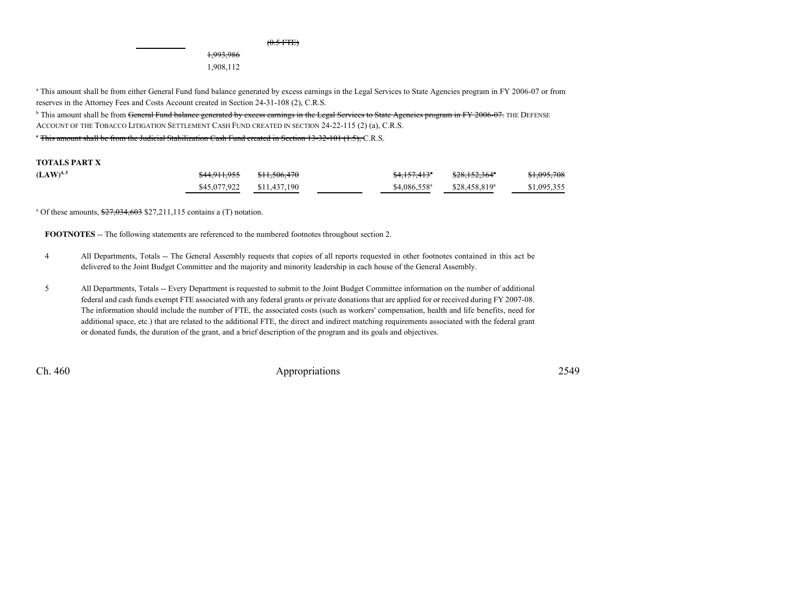1,993,986

1,908,112

<sup>a</sup> This amount shall be from either General Fund fund balance generated by excess earnings in the Legal Services to State Agencies program in FY 2006-07 or from reserves in the Attorney Fees and Costs Account created in Section 24-31-108 (2), C.R.S.

<sup>b</sup> This amount shall be from <del>General Fund balance generated by excess carnings in the Legal Services to State Agencies program in FY 2006-07. THE DEFENSE</del> ACCOUNT OF THE TOBACCO LITIGATION SETTLEMENT CASH FUND CREATED IN SECTION 24-22-115 (2) (a), C.R.S.

c This amount shall be from the Judicial Stabilization Cash Fund created in Section 13-32-101 (1.5), C.R.S.

#### **TOTALS PART X**

| $(LAW)^{4,5}$ |                           | \$4,157,413"          | \$28,152,364"             | \$1,095,708 |
|---------------|---------------------------|-----------------------|---------------------------|-------------|
|               | \$45,077,922 \$11,437,190 | $$4,086,558^{\circ}$$ | \$28,458,819 <sup>a</sup> | \$1,095,355 |

<sup>a</sup> Of these amounts,  $\frac{$27,034,603}{$27,211,115}$  contains a (T) notation.

**FOOTNOTES** -- The following statements are referenced to the numbered footnotes throughout section 2.

- <sup>4</sup> All Departments, Totals -- The General Assembly requests that copies of all reports requested in other footnotes contained in this act be delivered to the Joint Budget Committee and the majority and minority leadership in each house of the General Assembly.
- <sup>5</sup> All Departments, Totals -- Every Department is requested to submit to the Joint Budget Committee information on the number of additional federal and cash funds exempt FTE associated with any federal grants or private donations that are applied for or received during FY 2007-08. The information should include the number of FTE, the associated costs (such as workers' compensation, health and life benefits, need for additional space, etc.) that are related to the additional FTE, the direct and indirect matching requirements associated with the federal grantor donated funds, the duration of the grant, and a brief description of the program and its goals and objectives.

Ch. 460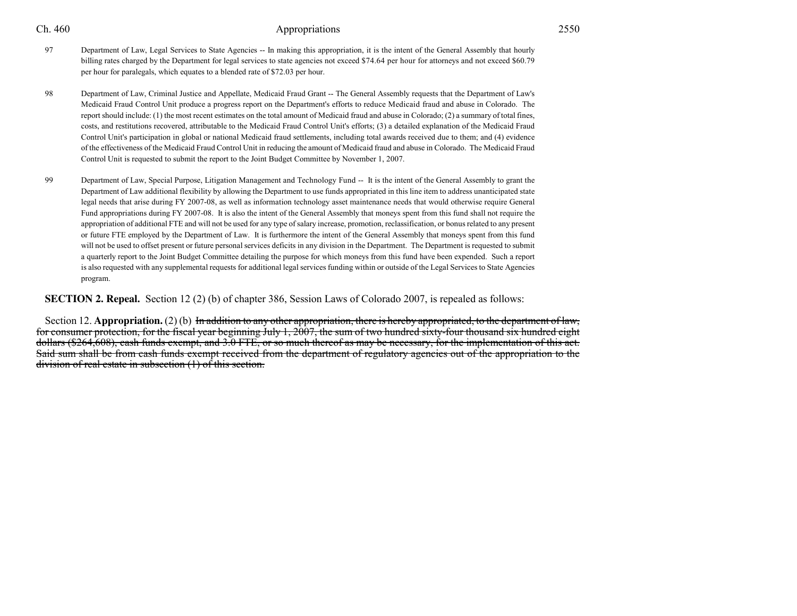- 
- <sup>97</sup> Department of Law, Legal Services to State Agencies -- In making this appropriation, it is the intent of the General Assembly that hourly billing rates charged by the Department for legal services to state agencies not exceed \$74.64 per hour for attorneys and not exceed \$60.79per hour for paralegals, which equates to a blended rate of \$72.03 per hour.
- <sup>98</sup> Department of Law, Criminal Justice and Appellate, Medicaid Fraud Grant -- The General Assembly requests that the Department of Law's Medicaid Fraud Control Unit produce a progress report on the Department's efforts to reduce Medicaid fraud and abuse in Colorado. The report should include: (1) the most recent estimates on the total amount of Medicaid fraud and abuse in Colorado; (2) a summary of total fines,costs, and restitutions recovered, attributable to the Medicaid Fraud Control Unit's efforts; (3) a detailed explanation of the Medicaid Fraud Control Unit's participation in global or national Medicaid fraud settlements, including total awards received due to them; and (4) evidence of the effectiveness of the Medicaid Fraud Control Unit in reducing the amount of Medicaid fraud and abuse in Colorado. The Medicaid FraudControl Unit is requested to submit the report to the Joint Budget Committee by November 1, 2007.
- <sup>99</sup> Department of Law, Special Purpose, Litigation Management and Technology Fund -- It is the intent of the General Assembly to grant the Department of Law additional flexibility by allowing the Department to use funds appropriated in this line item to address unanticipated state legal needs that arise during FY 2007-08, as well as information technology asset maintenance needs that would otherwise require GeneralFund appropriations during FY 2007-08. It is also the intent of the General Assembly that moneys spent from this fund shall not require the appropriation of additional FTE and will not be used for any type of salary increase, promotion, reclassification, or bonus related to any presentor future FTE employed by the Department of Law. It is furthermore the intent of the General Assembly that moneys spent from this fund will not be used to offset present or future personal services deficits in any division in the Department. The Department is requested to submita quarterly report to the Joint Budget Committee detailing the purpose for which moneys from this fund have been expended. Such a reportis also requested with any supplemental requests for additional legal services funding within or outside of the Legal Services to State Agenciesprogram.

### **SECTION 2. Repeal.** Section 12 (2) (b) of chapter 386, Session Laws of Colorado 2007, is repealed as follows:

Section 12. **Appropriation.** (2) (b) In addition to any other appropriation, there is hereby appropriated, to the department of law, for consumer protection, for the fiscal year beginning July 1, 2007, the sum of two hundred sixty-four thousand six hundred eight dollars (\$264,608), cash funds exempt, and 3.0 FTE, or so much thereof as may be necessary, for the implementation of this act. Said sum shall be from cash funds exempt received from the department of regulatory agencies out of the appropriation to thedivision of real estate in subsection (1) of this section.